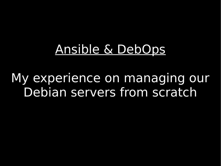#### Ansible & DebOps

My experience on managing our Debian servers from scratch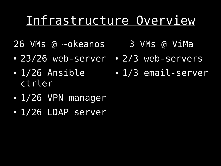#### Infrastructure Overview

- 26 VMs @ ~okeanos
- 23/26 web-server 2/3 web-servers
- $\cdot$  1/26 Ansible
- 

3 VMs @ ViMa

- 1/3 email-server
- 1/26 VPN manager

ctrler

• 1/26 LDAP server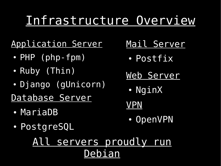#### Infrastructure Overview

Application Server

- $\cdot$  PHP (php-fpm)
- Ruby (Thin)
- Django (gUnicorn)

Database Server

- MariaDB
- PostgreSQL
- Mail Server
	- Postfix
- Web Server
	- NginX
- VPN
	- OpenVPN

All servers proudly run Debian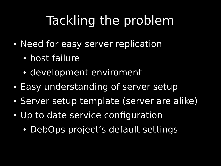## Tackling the problem

- Need for easy server replication
	- host failure
	- development enviroment
- Easy understanding of server setup
- Server setup template (server are alike)
- Up to date service configuration
	- DebOps project's default settings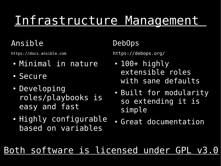# Infrastructure Management

#### Ansible

[https://docs.ansible.com](https://docs.ansible.com/)

- Minimal in nature
- Secure
- Developing roles/playbooks is easy and fast
- Highly configurable based on variables

#### DebOps

<https://debops.org/>

- $\cdot$  100+ highly extensible roles with sane defaults
- Built for modularity so extending it is simple
- Great documentation

Both software is licensed under GPL v3.0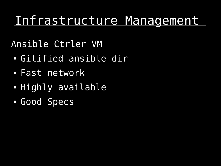#### Infrastructure Management

#### Ansible Ctrler VM

- Gitified ansible dir
- Fast network
- Highly available
- Good Specs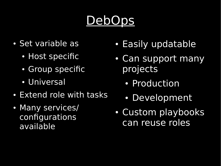# DebOps

- Set variable as
	- Host specific
	- Group specific
	- Universal
- Extend role with tasks
- Many services/ configurations available
- Easily updatable
- Can support many projects
	- Production
	- Development
- Custom playbooks can reuse roles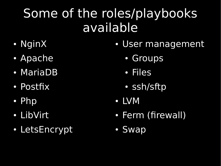## Some of the roles/playbooks available

- NginX
- Apache
- MariaDB
- Postfix
- Php
- LibVirt
- LetsEncrypt
- User management
	- Groups
	- Files
	- ssh/sftp
- LVM
- Ferm (firewall)
- Swap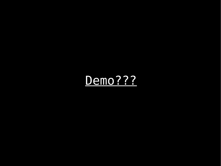## Demo???